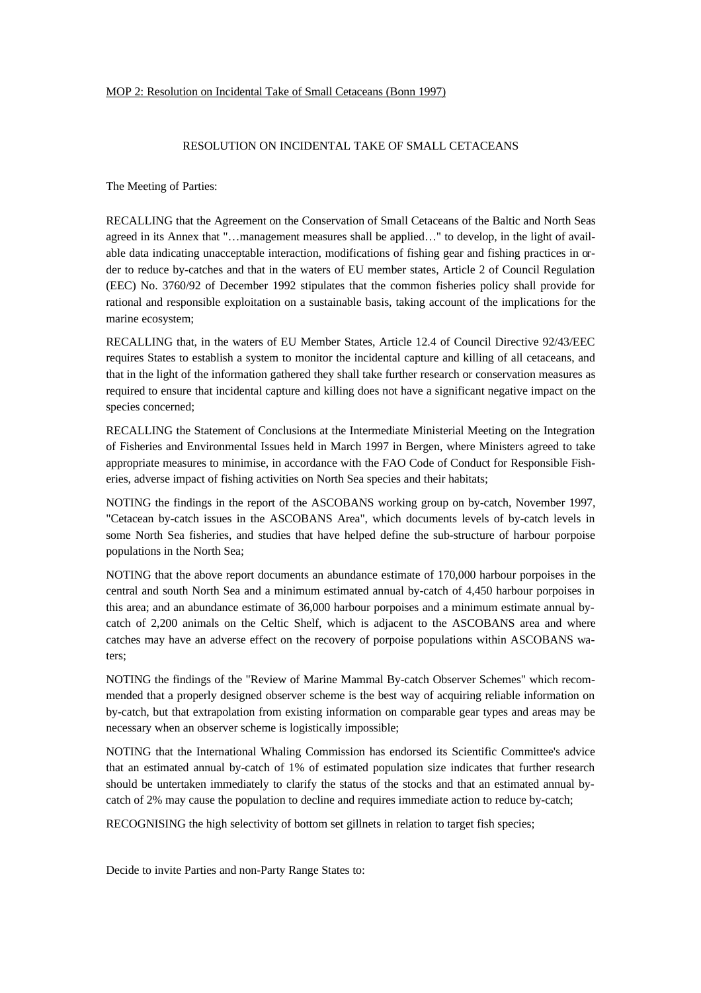## MOP 2: Resolution on Incidental Take of Small Cetaceans (Bonn 1997)

## RESOLUTION ON INCIDENTAL TAKE OF SMALL CETACEANS

The Meeting of Parties:

RECALLING that the Agreement on the Conservation of Small Cetaceans of the Baltic and North Seas agreed in its Annex that "…management measures shall be applied…" to develop, in the light of available data indicating unacceptable interaction, modifications of fishing gear and fishing practices in order to reduce by-catches and that in the waters of EU member states, Article 2 of Council Regulation (EEC) No. 3760/92 of December 1992 stipulates that the common fisheries policy shall provide for rational and responsible exploitation on a sustainable basis, taking account of the implications for the marine ecosystem;

RECALLING that, in the waters of EU Member States, Article 12.4 of Council Directive 92/43/EEC requires States to establish a system to monitor the incidental capture and killing of all cetaceans, and that in the light of the information gathered they shall take further research or conservation measures as required to ensure that incidental capture and killing does not have a significant negative impact on the species concerned;

RECALLING the Statement of Conclusions at the Intermediate Ministerial Meeting on the Integration of Fisheries and Environmental Issues held in March 1997 in Bergen, where Ministers agreed to take appropriate measures to minimise, in accordance with the FAO Code of Conduct for Responsible Fisheries, adverse impact of fishing activities on North Sea species and their habitats;

NOTING the findings in the report of the ASCOBANS working group on by-catch, November 1997, "Cetacean by-catch issues in the ASCOBANS Area", which documents levels of by-catch levels in some North Sea fisheries, and studies that have helped define the sub-structure of harbour porpoise populations in the North Sea;

NOTING that the above report documents an abundance estimate of 170,000 harbour porpoises in the central and south North Sea and a minimum estimated annual by-catch of 4,450 harbour porpoises in this area; and an abundance estimate of 36,000 harbour porpoises and a minimum estimate annual bycatch of 2,200 animals on the Celtic Shelf, which is adjacent to the ASCOBANS area and where catches may have an adverse effect on the recovery of porpoise populations within ASCOBANS waters;

NOTING the findings of the "Review of Marine Mammal By-catch Observer Schemes" which recommended that a properly designed observer scheme is the best way of acquiring reliable information on by-catch, but that extrapolation from existing information on comparable gear types and areas may be necessary when an observer scheme is logistically impossible;

NOTING that the International Whaling Commission has endorsed its Scientific Committee's advice that an estimated annual by-catch of 1% of estimated population size indicates that further research should be untertaken immediately to clarify the status of the stocks and that an estimated annual bycatch of 2% may cause the population to decline and requires immediate action to reduce by-catch;

RECOGNISING the high selectivity of bottom set gillnets in relation to target fish species;

Decide to invite Parties and non-Party Range States to: